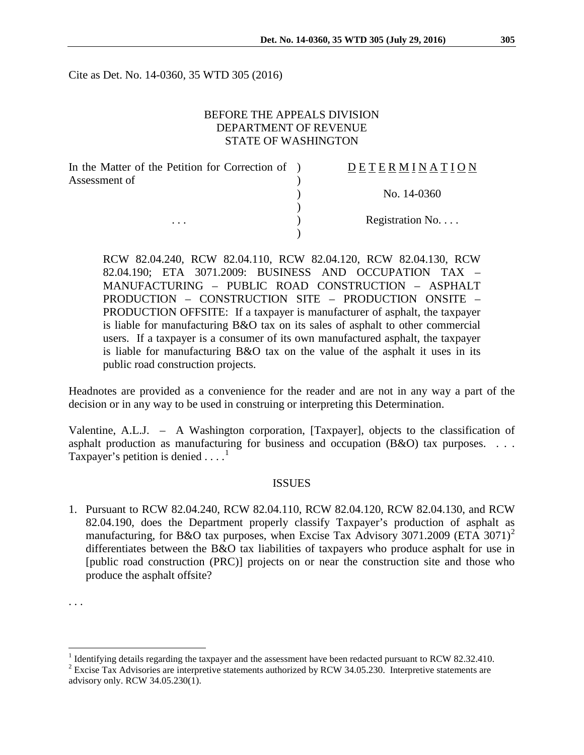Cite as Det. No. 14-0360, 35 WTD 305 (2016)

## BEFORE THE APPEALS DIVISION DEPARTMENT OF REVENUE STATE OF WASHINGTON

| In the Matter of the Petition for Correction of ) | DETERMINATION   |
|---------------------------------------------------|-----------------|
| Assessment of                                     |                 |
|                                                   | No. 14-0360     |
|                                                   |                 |
| $\cdots$                                          | Registration No |
|                                                   |                 |

RCW 82.04.240, RCW 82.04.110, RCW 82.04.120, RCW 82.04.130, RCW 82.04.190; ETA 3071.2009: BUSINESS AND OCCUPATION TAX – MANUFACTURING – PUBLIC ROAD CONSTRUCTION – ASPHALT PRODUCTION – CONSTRUCTION SITE – PRODUCTION ONSITE – PRODUCTION OFFSITE: If a taxpayer is manufacturer of asphalt, the taxpayer is liable for manufacturing B&O tax on its sales of asphalt to other commercial users. If a taxpayer is a consumer of its own manufactured asphalt, the taxpayer is liable for manufacturing B&O tax on the value of the asphalt it uses in its public road construction projects.

Headnotes are provided as a convenience for the reader and are not in any way a part of the decision or in any way to be used in construing or interpreting this Determination.

Valentine, A.L.J. – A Washington corporation, [Taxpayer], objects to the classification of asphalt production as manufacturing for business and occupation (B&O) tax purposes. . . . Taxpayer's petition is denied  $\dots$ <sup>[1](#page-0-0)</sup>

#### ISSUES

1. Pursuant to RCW 82.04.240, RCW 82.04.110, RCW 82.04.120, RCW 82.04.130, and RCW 82.04.190, does the Department properly classify Taxpayer's production of asphalt as manufacturing, for B&O tax purposes, when Excise Tax Advisory 3071.[2](#page-0-1)009 (ETA 3071)<sup>2</sup> differentiates between the B&O tax liabilities of taxpayers who produce asphalt for use in [public road construction (PRC)] projects on or near the construction site and those who produce the asphalt offsite?

<sup>. . .</sup>

<sup>&</sup>lt;sup>1</sup> Identifying details regarding the taxpayer and the assessment have been redacted pursuant to RCW 82.32.410.

<span id="page-0-1"></span><span id="page-0-0"></span><sup>&</sup>lt;sup>2</sup> Excise Tax Advisories are interpretive statements authorized by RCW 34.05.230. Interpretive statements are advisory only. RCW 34.05.230(1).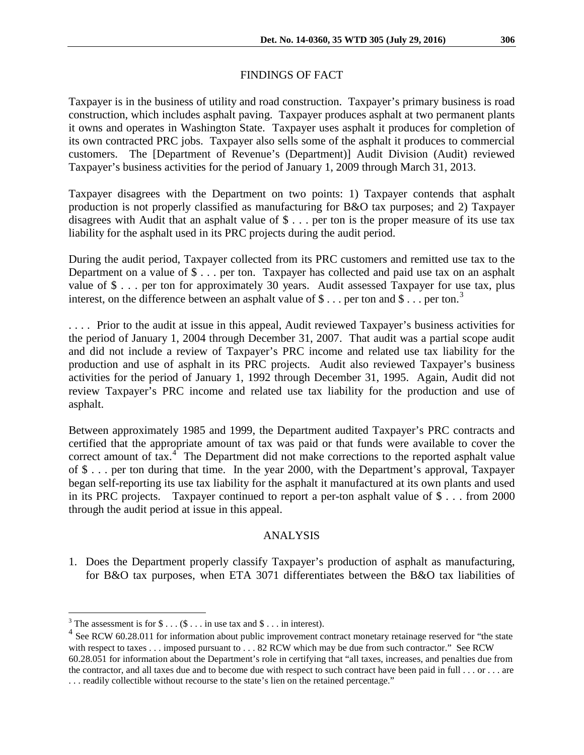### FINDINGS OF FACT

Taxpayer is in the business of utility and road construction. Taxpayer's primary business is road construction, which includes asphalt paving. Taxpayer produces asphalt at two permanent plants it owns and operates in Washington State. Taxpayer uses asphalt it produces for completion of its own contracted PRC jobs. Taxpayer also sells some of the asphalt it produces to commercial customers. The [Department of Revenue's (Department)] Audit Division (Audit) reviewed Taxpayer's business activities for the period of January 1, 2009 through March 31, 2013.

Taxpayer disagrees with the Department on two points: 1) Taxpayer contends that asphalt production is not properly classified as manufacturing for B&O tax purposes; and 2) Taxpayer disagrees with Audit that an asphalt value of \$ . . . per ton is the proper measure of its use tax liability for the asphalt used in its PRC projects during the audit period.

During the audit period, Taxpayer collected from its PRC customers and remitted use tax to the Department on a value of \$ . . . per ton. Taxpayer has collected and paid use tax on an asphalt value of \$ . . . per ton for approximately 30 years. Audit assessed Taxpayer for use tax, plus interest, on the difference between an asphalt value of  $\$\dots$  per ton and  $\$\dots$  per ton.<sup>[3](#page-1-0)</sup>

. . . . Prior to the audit at issue in this appeal, Audit reviewed Taxpayer's business activities for the period of January 1, 2004 through December 31, 2007. That audit was a partial scope audit and did not include a review of Taxpayer's PRC income and related use tax liability for the production and use of asphalt in its PRC projects. Audit also reviewed Taxpayer's business activities for the period of January 1, 1992 through December 31, 1995. Again, Audit did not review Taxpayer's PRC income and related use tax liability for the production and use of asphalt.

Between approximately 1985 and 1999, the Department audited Taxpayer's PRC contracts and certified that the appropriate amount of tax was paid or that funds were available to cover the correct amount of  $\text{tax.}^4$  $\text{tax.}^4$ . The Department did not make corrections to the reported asphalt value of \$ . . . per ton during that time. In the year 2000, with the Department's approval, Taxpayer began self-reporting its use tax liability for the asphalt it manufactured at its own plants and used in its PRC projects. Taxpayer continued to report a per-ton asphalt value of \$ . . . from 2000 through the audit period at issue in this appeal.

#### ANALYSIS

1. Does the Department properly classify Taxpayer's production of asphalt as manufacturing, for B&O tax purposes, when ETA 3071 differentiates between the B&O tax liabilities of

<span id="page-1-0"></span><sup>&</sup>lt;sup>3</sup> The assessment is for  $\$\dots(\$ \dots$  in use tax and  $\$\dots$  in interest).

<span id="page-1-1"></span><sup>&</sup>lt;sup>4</sup> See RCW 60.28.011 for information about public improvement contract monetary retainage reserved for "the state" with respect to taxes . . . imposed pursuant to . . . 82 RCW which may be due from such contractor." See RCW 60.28.051 for information about the Department's role in certifying that "all taxes, increases, and penalties due from the contractor, and all taxes due and to become due with respect to such contract have been paid in full . . . or . . . are . . . readily collectible without recourse to the state's lien on the retained percentage."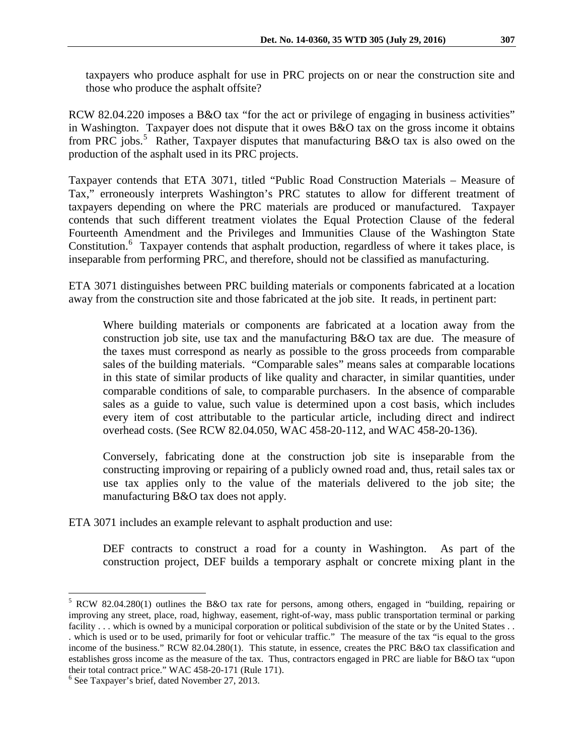taxpayers who produce asphalt for use in PRC projects on or near the construction site and those who produce the asphalt offsite?

RCW 82.04.220 imposes a B&O tax "for the act or privilege of engaging in business activities" in Washington. Taxpayer does not dispute that it owes B&O tax on the gross income it obtains from PRC jobs.<sup>[5](#page-2-0)</sup> Rather, Taxpayer disputes that manufacturing B&O tax is also owed on the production of the asphalt used in its PRC projects.

Taxpayer contends that ETA 3071, titled "Public Road Construction Materials – Measure of Tax," erroneously interprets Washington's PRC statutes to allow for different treatment of taxpayers depending on where the PRC materials are produced or manufactured. Taxpayer contends that such different treatment violates the Equal Protection Clause of the federal Fourteenth Amendment and the Privileges and Immunities Clause of the Washington State Constitution.<sup>[6](#page-2-1)</sup> Taxpayer contends that asphalt production, regardless of where it takes place, is inseparable from performing PRC, and therefore, should not be classified as manufacturing.

ETA 3071 distinguishes between PRC building materials or components fabricated at a location away from the construction site and those fabricated at the job site. It reads, in pertinent part:

Where building materials or components are fabricated at a location away from the construction job site, use tax and the manufacturing B&O tax are due. The measure of the taxes must correspond as nearly as possible to the gross proceeds from comparable sales of the building materials. "Comparable sales" means sales at comparable locations in this state of similar products of like quality and character, in similar quantities, under comparable conditions of sale, to comparable purchasers. In the absence of comparable sales as a guide to value, such value is determined upon a cost basis, which includes every item of cost attributable to the particular article, including direct and indirect overhead costs. (See RCW 82.04.050, WAC 458-20-112, and WAC 458-20-136).

Conversely, fabricating done at the construction job site is inseparable from the constructing improving or repairing of a publicly owned road and, thus, retail sales tax or use tax applies only to the value of the materials delivered to the job site; the manufacturing B&O tax does not apply.

ETA 3071 includes an example relevant to asphalt production and use:

DEF contracts to construct a road for a county in Washington. As part of the construction project, DEF builds a temporary asphalt or concrete mixing plant in the

<span id="page-2-0"></span> <sup>5</sup> RCW 82.04.280(1) outlines the B&O tax rate for persons, among others, engaged in "building, repairing or improving any street, place, road, highway, easement, right-of-way, mass public transportation terminal or parking facility . . . which is owned by a municipal corporation or political subdivision of the state or by the United States . . . which is used or to be used, primarily for foot or vehicular traffic." The measure of the tax "is equal to the gross income of the business." RCW 82.04.280(1). This statute, in essence, creates the PRC B&O tax classification and establishes gross income as the measure of the tax. Thus, contractors engaged in PRC are liable for B&O tax "upon their total contract price." WAC 458-20-171 (Rule 171).<br><sup>6</sup> See Taxpayer's brief, dated November 27, 2013.

<span id="page-2-1"></span>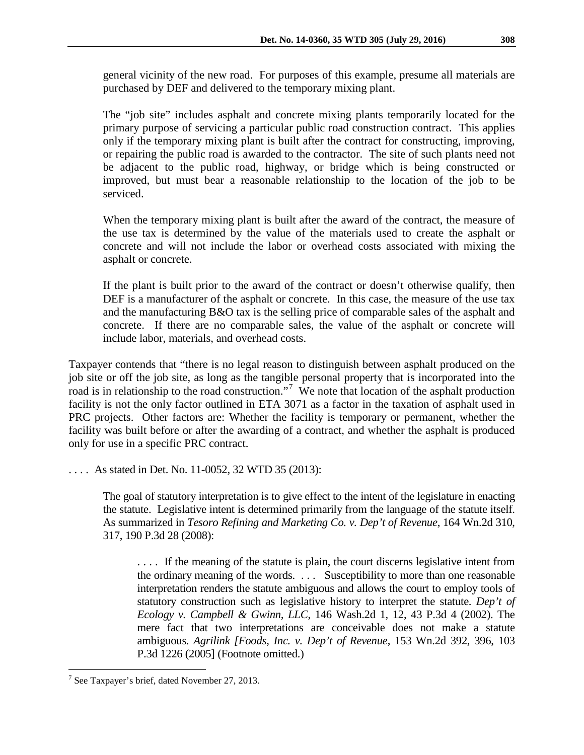general vicinity of the new road. For purposes of this example, presume all materials are purchased by DEF and delivered to the temporary mixing plant.

The "job site" includes asphalt and concrete mixing plants temporarily located for the primary purpose of servicing a particular public road construction contract. This applies only if the temporary mixing plant is built after the contract for constructing, improving, or repairing the public road is awarded to the contractor. The site of such plants need not be adjacent to the public road, highway, or bridge which is being constructed or improved, but must bear a reasonable relationship to the location of the job to be serviced.

When the temporary mixing plant is built after the award of the contract, the measure of the use tax is determined by the value of the materials used to create the asphalt or concrete and will not include the labor or overhead costs associated with mixing the asphalt or concrete.

If the plant is built prior to the award of the contract or doesn't otherwise qualify, then DEF is a manufacturer of the asphalt or concrete. In this case, the measure of the use tax and the manufacturing B&O tax is the selling price of comparable sales of the asphalt and concrete. If there are no comparable sales, the value of the asphalt or concrete will include labor, materials, and overhead costs.

Taxpayer contends that "there is no legal reason to distinguish between asphalt produced on the job site or off the job site, as long as the tangible personal property that is incorporated into the road is in relationship to the road construction."<sup>[7](#page-3-0)</sup> We note that location of the asphalt production facility is not the only factor outlined in ETA 3071 as a factor in the taxation of asphalt used in PRC projects. Other factors are: Whether the facility is temporary or permanent, whether the facility was built before or after the awarding of a contract, and whether the asphalt is produced only for use in a specific PRC contract.

. . . . As stated in Det. No. 11-0052, 32 WTD 35 (2013):

The goal of statutory interpretation is to give effect to the intent of the legislature in enacting the statute. Legislative intent is determined primarily from the language of the statute itself. As summarized in *Tesoro Refining and Marketing Co. v. Dep't of Revenue*, 164 Wn.2d 310, 317, 190 P.3d 28 (2008):

. . . . If the meaning of the statute is plain, the court discerns legislative intent from the ordinary meaning of the words. . . . Susceptibility to more than one reasonable interpretation renders the statute ambiguous and allows the court to employ tools of statutory construction such as legislative history to interpret the statute. *Dep't of Ecology v. Campbell & Gwinn, LLC*, 146 Wash.2d 1, 12, 43 P.3d 4 (2002). The mere fact that two interpretations are conceivable does not make a statute ambiguous. *Agrilink [Foods, Inc. v. Dep't of Revenue*, 153 Wn.2d 392, 396, 103 P.3d 1226 (2005] (Footnote omitted.)

<span id="page-3-0"></span> $7$  See Taxpayer's brief, dated November 27, 2013.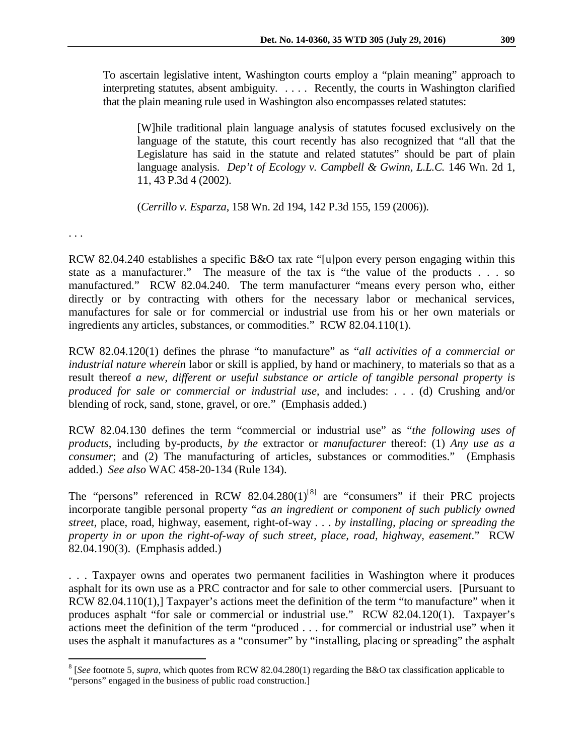To ascertain legislative intent, Washington courts employ a "plain meaning" approach to interpreting statutes, absent ambiguity. . . . . Recently, the courts in Washington clarified that the plain meaning rule used in Washington also encompasses related statutes:

[W]hile traditional plain language analysis of statutes focused exclusively on the language of the statute, this court recently has also recognized that "all that the Legislature has said in the statute and related statutes" should be part of plain language analysis. *Dep't of Ecology v. Campbell & Gwinn, L.L.C.* 146 Wn. 2d 1, 11, 43 P.3d 4 (2002).

(*Cerrillo v. Esparza*, 158 Wn. 2d 194, 142 P.3d 155, 159 (2006)).

. . .

RCW 82.04.240 establishes a specific B&O tax rate "[u]pon every person engaging within this state as a manufacturer." The measure of the tax is "the value of the products . . . so manufactured." RCW 82.04.240. The term manufacturer "means every person who, either directly or by contracting with others for the necessary labor or mechanical services, manufactures for sale or for commercial or industrial use from his or her own materials or ingredients any articles, substances, or commodities." RCW 82.04.110(1).

RCW 82.04.120(1) defines the phrase "to manufacture" as "*all activities of a commercial or industrial nature wherein* labor or skill is applied, by hand or machinery, to materials so that as a result thereof *a new, different or useful substance or article of tangible personal property is produced for sale or commercial or industrial use*, and includes: . . . (d) Crushing and/or blending of rock, sand, stone, gravel, or ore." (Emphasis added.)

RCW 82.04.130 defines the term "commercial or industrial use" as "*the following uses of products*, including by-products, *by the* extractor or *manufacturer* thereof: (1) *Any use as a consumer*; and (2) The manufacturing of articles, substances or commodities." (Emphasis added.) *See also* WAC 458-20-134 (Rule 134).

The "persons" referenced in RCW  $82.04.280(1)^{8}$  $82.04.280(1)^{8}$  are "consumers" if their PRC projects incorporate tangible personal property "*as an ingredient or component of such publicly owned street,* place, road, highway, easement, right-of-way . . . *by installing, placing or spreading the property in or upon the right-of-way of such street, place, road, highway, easement*." RCW 82.04.190(3). (Emphasis added.)

. . . Taxpayer owns and operates two permanent facilities in Washington where it produces asphalt for its own use as a PRC contractor and for sale to other commercial users. [Pursuant to RCW 82.04.110(1),] Taxpayer's actions meet the definition of the term "to manufacture" when it produces asphalt "for sale or commercial or industrial use." RCW 82.04.120(1). Taxpayer's actions meet the definition of the term "produced . . . for commercial or industrial use" when it uses the asphalt it manufactures as a "consumer" by "installing, placing or spreading" the asphalt

<span id="page-4-0"></span> <sup>8</sup> [*See* footnote 5, *supra*, which quotes from RCW 82.04.280(1) regarding the B&O tax classification applicable to "persons" engaged in the business of public road construction.]